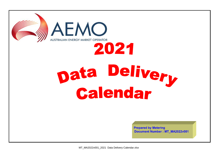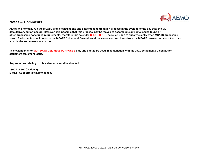

## **Notes & Comments**

**AEMO will normally run the MSATS profile calculations and settlement aggregation process in the evening of the day that, the MDP data delivery cut off occurs. However, it is possible that this process may be moved to accomodate any data issues found or other processing scheduled requirements, therefore this calendar SHOULD NOT be relied upon to specify exactly when MSATS processing is run. Participants should refer to the MSATS Settlement Case id's and the associated run times from the MSATS browser to determine when a particular settlement case is run.**

**This calendar is for MDP DATA DELIVERY PURPOSES only and should be used in conjunction with the 2021 Settlements Calendar for settlement statement issue.**

**Any enquiries relating to this calendar should be directed to**

**1300 236 600 (Option 2) E-Mail : Supporthub@aemo.com.au**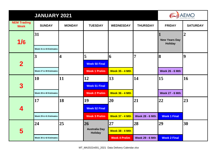|                                   | <b>JANUARY 2021</b>          |                         |                                                    |                                                          |                              |                                        |                  |  |
|-----------------------------------|------------------------------|-------------------------|----------------------------------------------------|----------------------------------------------------------|------------------------------|----------------------------------------|------------------|--|
| <b>NEM Trading</b><br><b>Week</b> | <b>SUNDAY</b>                | <b>MONDAY</b>           | <b>TUESDAY</b>                                     | <b>WEDNESDAY</b>                                         | <b>THURSDAY</b>              | <b>FRIDAY</b>                          | <b>SATURDAY</b>  |  |
| 1/6                               | 31<br>Week 31 & 43 Estimates |                         |                                                    |                                                          |                              | <b>New Years Day</b><br><b>Holiday</b> | $\boldsymbol{2}$ |  |
| $\overline{\mathbf{2}}$           | 3<br>Week 27 & 39 Estimates  | $\overline{\mathbf{4}}$ | 5<br><b>Week 50 Final</b><br><b>Week 1 Prelim</b>  | 6<br><b>Week 35 - 4 Mth</b>                              | $\overline{7}$               | 8<br><b>Week 26 - 6 Mth</b>            | 9                |  |
| 3                                 | 10<br>Week 28 & 40 Estimates | 11                      | 12<br><b>Week 51 Final</b><br><b>Week 2 Prelim</b> | 13<br><b>Week 36 - 4 Mth</b>                             | 14                           | 15<br><b>Week 27 - 6 Mth</b>           | 16               |  |
| 4                                 | 17<br>Week 29 & 41 Estimates | 18                      | 19<br><b>Week 52 Final</b><br><b>Week 3 Prelim</b> | 20<br><b>Week 37 - 4 Mth</b>                             | 21<br><b>Week 28 - 6 Mth</b> | 22<br><b>Week 1 Final</b>              | 23               |  |
| 5                                 | 24<br>Week 30 & 42 Estimates | 25                      | 26<br><b>Australia Day</b><br><b>Holiday</b>       | $27\,$<br><b>Week 38 - 4 Mth</b><br><b>Week 4 Prelim</b> | 28<br><b>Week 29 - 6 Mth</b> | 29<br><b>Week 2 Final</b>              | 30               |  |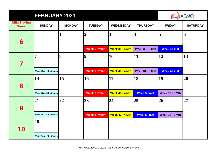|                                   | <b>AEMO</b>            |               |                      |                        |                        |                        |                 |
|-----------------------------------|------------------------|---------------|----------------------|------------------------|------------------------|------------------------|-----------------|
| <b>NEM Trading</b><br><b>Week</b> | <b>SUNDAY</b>          | <b>MONDAY</b> | <b>TUESDAY</b>       | <b>WEDNESDAY</b>       | <b>THURSDAY</b>        | <b>FRIDAY</b>          | <b>SATURDAY</b> |
|                                   |                        | 1             | $\overline{2}$       | 3                      | $\overline{\bf 4}$     | 5                      | 6               |
| 6                                 |                        |               | <b>Week 5 Prelim</b> | <b>Week 39 - 4 Mth</b> | <b>Week 30 - 6 Mth</b> | <b>Week 3 Final</b>    |                 |
|                                   | $\overline{7}$         | 8             | 19                   | 10                     | 11                     | 12                     | 13              |
| 7                                 | Week 32 & 44 Estimates |               | <b>Week 6 Prelim</b> | <b>Week 40 - 4 Mth</b> | <b>Week 31 - 6 Mth</b> | <b>Week 4 Final</b>    |                 |
|                                   | 14                     | 15            | <b>16</b>            | 17                     | 18                     | 19                     | 20              |
| 8                                 | Week 33 & 45 Estimates |               | <b>Week 7 Prelim</b> | <b>Week 41 - 4 Mth</b> | <b>Week 5 Final</b>    | <b>Week 32 - 6 Mth</b> |                 |
|                                   | 21                     | 22            | 23                   | 24                     | 25                     | 26                     | 27              |
| 9                                 | Week 34 & 46 Estimates |               | <b>Week 8 Prelim</b> | <b>Week 42 - 4 Mth</b> | <b>Week 6 Final</b>    | <b>Week 33 - 6 Mth</b> |                 |
|                                   | 28                     |               |                      |                        |                        |                        |                 |
| 10                                | Week 35 & 47 Estimates |               |                      |                        |                        |                        |                 |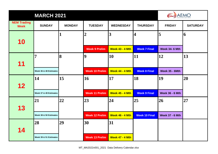|                                   | <b>MARCH 2021</b>      |               |                       | AEMO                    |                         |                        |                 |
|-----------------------------------|------------------------|---------------|-----------------------|-------------------------|-------------------------|------------------------|-----------------|
| <b>NEM Trading</b><br><b>Week</b> | <b>SUNDAY</b>          | <b>MONDAY</b> | <b>TUESDAY</b>        | <b>WEDNESDAY</b>        | <b>THURSDAY</b>         | <b>FRIDAY</b>          | <b>SATURDAY</b> |
| 10                                |                        | 1             | $\overline{2}$        | $\overline{\mathbf{3}}$ | $\overline{\mathbf{4}}$ | 5                      | 6               |
|                                   |                        |               | <b>Week 9 Prelim</b>  | <b>Week 43 - 4 Mth</b>  | <b>Week 7 Final</b>     | <b>Week 34- 6 Mth</b>  |                 |
| 11                                | 7                      | 8             | $\overline{9}$        | <b>10</b>               | 11                      | 12                     | 13              |
|                                   | Week 36 & 48 Estimates |               | <b>Week 10 Prelim</b> | <b>Week 44 - 4 Mth</b>  | <b>Week 8 Final</b>     | <b>Week 35 - 6Mth</b>  |                 |
| 12                                | 14                     | 15            | 16                    | 17                      | 18                      | 19                     | 20              |
|                                   | Week 37 & 49 Estimates |               | <b>Week 11 Prelim</b> | <b>Week 45 - 4 Mth</b>  | <b>Week 9 Final</b>     | <b>Week 36 - 6 Mth</b> |                 |
| 13                                | 21                     | 22            | 23                    | 24                      | 25                      | 26                     | 27              |
|                                   | Week 38 & 50 Estimates |               | <b>Week 12 Prelim</b> | <b>Week 46 - 4 Mth</b>  | <b>Week 10 Final</b>    | <b>Week 37 - 6 Mth</b> |                 |
| 14                                | 28                     | 29            | 30                    | 31                      |                         |                        |                 |
|                                   | Week 39 & 51 Estimates |               | <b>Week 13 Prelim</b> | <b>Week 47 - 4 Mth</b>  |                         |                        |                 |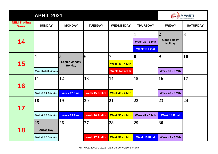|                                   | <b>APRIL 2021</b>                                 | <b>AEMO</b>                                 |                             |                                                      |                                                |                                                        |                         |
|-----------------------------------|---------------------------------------------------|---------------------------------------------|-----------------------------|------------------------------------------------------|------------------------------------------------|--------------------------------------------------------|-------------------------|
| <b>NEM Trading</b><br><b>Week</b> | <b>SUNDAY</b>                                     | <b>MONDAY</b>                               | <b>TUESDAY</b>              | <b>WEDNESDAY</b>                                     | <b>THURSDAY</b>                                | <b>FRIDAY</b>                                          | <b>SATURDAY</b>         |
| 14                                |                                                   |                                             |                             |                                                      | <b>Week 38 - 6 Mth</b><br><b>Week 11 Final</b> | $\overline{2}$<br><b>Good Friday</b><br><b>Holiday</b> | $\overline{\mathbf{3}}$ |
| 15                                | $\overline{\mathbf{4}}$<br>Week 40 & 52 Estimates | 5<br><b>Easter Monday</b><br><b>Holiday</b> | 16                          | 7<br><b>Week 48 - 4 Mth</b><br><b>Week 14 Prelim</b> | 8                                              | $\boldsymbol{9}$<br><b>Week 39 - 6 Mth</b>             | <b>10</b>               |
| 16                                | 11<br>Week 41 & 1 Estimates                       | 12<br><b>Week 12 Final</b>                  | 13<br><b>Week 15 Prelim</b> | 14<br><b>Week 49 - 4 Mth</b>                         | 15                                             | 16<br><b>Week 40 - 6 Mth</b>                           | $\overline{17}$         |
| 17                                | <b>18</b><br>Week 42 & 2 Estimates                | 19<br><b>Week 13 Final</b>                  | 20<br><b>Week 16 Prelim</b> | 21<br><b>Week 50 - 4 Mth</b>                         | 22<br><b>Week 41 - 6 Mth</b>                   | 23<br><b>Week 14 Final</b>                             | 24                      |
| 18                                | 25<br><b>Anzac Day</b><br>Week 43 & 3 Estimates   | 26                                          | 27<br><b>Week 17 Prelim</b> | 28<br><b>Week 51 - 4 Mth</b>                         | 29<br><b>Week 15 Final</b>                     | 30<br><b>Week 42 - 6 Mth</b>                           |                         |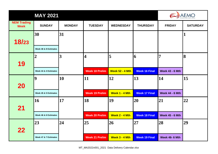|                                   | <b>MAY 2021</b>                         | <b>AEMO</b>   |                             |                              |                            |                              |                 |  |  |  |
|-----------------------------------|-----------------------------------------|---------------|-----------------------------|------------------------------|----------------------------|------------------------------|-----------------|--|--|--|
| <b>NEM Trading</b><br><b>Week</b> | <b>SUNDAY</b>                           | <b>MONDAY</b> | <b>TUESDAY</b>              | <b>WEDNESDAY</b>             | <b>THURSDAY</b>            | <b>FRIDAY</b>                | <b>SATURDAY</b> |  |  |  |
| 18/23                             | 30<br>Week 48 & 8 Estimates             | 31            |                             |                              |                            |                              | 1               |  |  |  |
| 19                                | $\overline{2}$                          | 3             | $\overline{\mathbf{4}}$     | 5                            | 6                          | $\overline{7}$               | 8               |  |  |  |
|                                   | Week 44 & 4 Estimates<br>$\overline{9}$ | 10            | <b>Week 18 Prelim</b><br>11 | <b>Week 52 - 4 Mth</b><br>12 | <b>Week 16 Final</b><br>13 | <b>Week 43 - 6 Mth</b><br>14 | 15              |  |  |  |
| <b>20</b>                         |                                         |               |                             |                              |                            |                              |                 |  |  |  |
|                                   | Week 45 & 5 Estimates                   |               | <b>Week 19 Prelim</b>       | Week 1 - 4 Mth               | <b>Week 17 Final</b>       | <b>Week 44 - 6 Mth</b>       |                 |  |  |  |
| 21                                | 16                                      | 17            | 18                          | 19                           | 20                         | 21                           | 22              |  |  |  |
|                                   | Week 46 & 6 Estimates                   |               | <b>Week 20 Prelim</b>       | Week 2 - 4 Mth               | <b>Week 18 Final</b>       | <b>Week 45 - 6 Mth</b>       |                 |  |  |  |
| 22                                | 23                                      | 24            | 25                          | 26                           | 27                         | 28                           | 29              |  |  |  |
|                                   | Week 47 & 7 Estimates                   |               | <b>Week 21 Prelim</b>       | Week 3 - 4 Mth               | <b>Week 19 Final</b>       | <b>Week 46- 6 Mth</b>        |                 |  |  |  |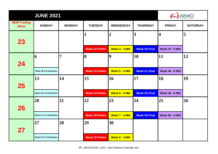|                                   | <b>JUNE 2021</b>       |               |                       |                  |                      |                         |                 |  |  |
|-----------------------------------|------------------------|---------------|-----------------------|------------------|----------------------|-------------------------|-----------------|--|--|
| <b>NEM Trading</b><br><b>Week</b> | <b>SUNDAY</b>          | <b>MONDAY</b> | <b>TUESDAY</b>        | <b>WEDNESDAY</b> | <b>THURSDAY</b>      | <b>FRIDAY</b>           | <b>SATURDAY</b> |  |  |
|                                   |                        |               | 1                     | $\overline{2}$   | 3                    | $\overline{\mathbf{4}}$ | 5               |  |  |
| 23                                |                        |               | <b>Week 22 Prelim</b> | Week 4 - 4 Mth   | <b>Week 20 Final</b> | <b>Week 47 - 6 Mth</b>  |                 |  |  |
|                                   | 16                     | 7             | 8                     | $\boldsymbol{9}$ | 10                   | 11                      | 12              |  |  |
| 24                                | Week 49 & 9 Estimates  |               | <b>Week 23 Prelim</b> | Week 5 - 4 Mth   | <b>Week 21 Final</b> | <b>Week 48 - 6 Mth</b>  |                 |  |  |
|                                   | $\vert 13 \vert$       | 14            | 15                    | <b>16</b>        | 17                   | 18                      | 19              |  |  |
| 25                                | Week 50 & 10 Estimates |               | <b>Week 24 Prelim</b> | Week 6 - 4 Mth   | <b>Week 22 Final</b> | <b>Week 49 - 6 Mth</b>  |                 |  |  |
|                                   | 20                     | 21            | 22                    | 23               | 24                   | 25                      | 26              |  |  |
| 26                                | Week 51 & 11 Estimates |               | <b>Week 25 Prelim</b> | Week 7 - 4 Mth   | <b>Week 23 Final</b> | <b>Week 50 - 6 Mth</b>  |                 |  |  |
|                                   | 27                     | 28            | 29                    | 30               |                      |                         |                 |  |  |
| 27                                |                        |               |                       |                  |                      |                         |                 |  |  |
|                                   | Week 52 & 12 Estimates |               | <b>Week 26 Prelim</b> | Week 8 - 4 Mth   |                      |                         |                 |  |  |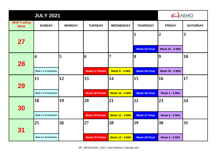|                                   | <b>AEMO</b>             |                |                       |                        |                      |                        |                         |
|-----------------------------------|-------------------------|----------------|-----------------------|------------------------|----------------------|------------------------|-------------------------|
| <b>NEM Trading</b><br><b>Week</b> | <b>SUNDAY</b>           | <b>MONDAY</b>  | <b>TUESDAY</b>        | <b>WEDNESDAY</b>       | <b>THURSDAY</b>      | <b>FRIDAY</b>          | <b>SATURDAY</b>         |
|                                   |                         |                |                       |                        | 1                    | $\overline{2}$         | $\overline{\mathbf{3}}$ |
| 27                                |                         |                |                       |                        | <b>Week 24 Final</b> | <b>Week 51 - 6 Mth</b> |                         |
|                                   | $\overline{\mathbf{4}}$ | $\overline{5}$ | 6                     | 7                      | 8                    | 9                      | 10                      |
| 28                                | Week 1 & 13 Estimates   |                | <b>Week 27 Prelim</b> | Week 9 - 4 Mth         | <b>Week 25 Final</b> | <b>Week 52 - 6 Mth</b> |                         |
|                                   | <b>11</b>               | 12             | 13                    | 14                     | 15                   | 16                     | 17                      |
| 29                                | Week 2 & 14 Estimates   |                | <b>Week 28 Prelim</b> | <b>Week 10 - 4 Mth</b> | <b>Week 26 Final</b> | Week 1 - 6 Mth         |                         |
|                                   | <b>18</b>               | 19             | 20                    | 21                     | 22                   | 23                     | 24                      |
| 30                                | Week 3 & 15 Estimates   |                | <b>Week 29 Prelim</b> | <b>Week 11 - 4 Mth</b> | <b>Week 27 Final</b> | Week 2 - 6 Mth         |                         |
|                                   | 25                      | 26             | 27                    | 28                     | 29                   | 30                     | 31                      |
| 31                                |                         |                |                       |                        |                      |                        |                         |
|                                   | Week 4 & 16 Estimates   |                | <b>Week 30 Prelim</b> | <b>Week 12 - 4 Mth</b> | <b>Week 28 Final</b> | Week 3 - 6 Mth         |                         |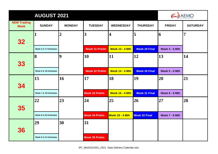|                                   |                       | <b>AUGUST 2021</b> |                         |                        |                      |                |                 |  |  |
|-----------------------------------|-----------------------|--------------------|-------------------------|------------------------|----------------------|----------------|-----------------|--|--|
| <b>NEM Trading</b><br><b>Week</b> | <b>SUNDAY</b>         | <b>MONDAY</b>      | <b>TUESDAY</b>          | <b>WEDNESDAY</b>       | <b>THURSDAY</b>      | <b>FRIDAY</b>  | <b>SATURDAY</b> |  |  |
| 32                                | 1                     | $\overline{2}$     | $\overline{\mathbf{3}}$ | 4                      | 5                    | 16             | $\overline{7}$  |  |  |
|                                   | Week 5 & 17 Estimates |                    | <b>Week 31 Prelim</b>   | <b>Week 13 - 4 Mth</b> | <b>Week 29 Final</b> | Week 4 - 6 Mth |                 |  |  |
| 33                                | 8                     | $\vert$ 9          | 10                      | 11                     | 12                   | <b>13</b>      | 14              |  |  |
|                                   | Week 6 & 18 Estimates |                    | <b>Week 32 Prelim</b>   | <b>Week 14 - 4 Mth</b> | <b>Week 30 Final</b> | Week 5 - 6 Mth |                 |  |  |
| 34                                | 15                    | 16                 | 17                      | 18                     | 19                   | 20             | 21              |  |  |
|                                   | Week 7 & 19 Estimates |                    | <b>Week 33 Prelim</b>   | <b>Week 15 - 4 Mth</b> | <b>Week 31 Final</b> | Week 6 - 6 Mth |                 |  |  |
| 35                                | 22                    | 23                 | 24                      | 25                     | 26                   | 27             | 28              |  |  |
|                                   | Week 8 & 20 Estimates |                    | <b>Week 34 Prelim</b>   | Week 16 - 4 Mth        | <b>Week 32 Final</b> | Week 7 - 6 Mth |                 |  |  |
| 36                                | 29                    | 30                 | 31                      |                        |                      |                |                 |  |  |
|                                   | Week 9 & 21 Estimates |                    | <b>Week 35 Prelim</b>   |                        |                      |                |                 |  |  |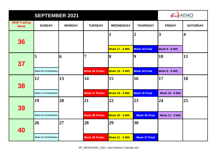|                                   | <b>AEMO</b>            |               |                       |                        |                      |                        |                         |
|-----------------------------------|------------------------|---------------|-----------------------|------------------------|----------------------|------------------------|-------------------------|
| <b>NEM Trading</b><br><b>Week</b> | <b>SUNDAY</b>          | <b>MONDAY</b> | <b>TUESDAY</b>        | <b>WEDNESDAY</b>       | <b>THURSDAY</b>      | <b>FRIDAY</b>          | <b>SATURDAY</b>         |
| 36                                |                        |               |                       |                        | $\overline{2}$       | $\overline{3}$         | $\overline{\mathbf{4}}$ |
|                                   |                        |               |                       | Week 17 - 4 Mth        | <b>Week 33 Final</b> | Week $8 - 6$ Mth       |                         |
|                                   | 5                      | 6             | $\overline{7}$        | 8                      | 9                    | 10                     | 11                      |
| 37                                | Week 10 & 22 Estimates |               | <b>Week 36 Prelim</b> | Week 18 - 4 Mth        | <b>Week 34 Final</b> | Week 9 - 6 Mth         |                         |
|                                   | 12                     | 13            | 14                    | 15                     | 16                   | 17                     | 18                      |
| 38                                |                        |               |                       |                        |                      |                        |                         |
|                                   | Week 11 & 23 Estimates |               | <b>Week 37 Prelim</b> | Week 19 - 4 Mth        | <b>Week 35 Final</b> | <b>Week 10 - 6 Mth</b> |                         |
|                                   | 19                     | 20            | 21                    | 22                     | 23                   | 24                     | 25                      |
| 39                                | Week 12 & 24 Estimates |               | <b>Week 38 Prelim</b> | <b>Week 20 - 4 Mth</b> | <b>Week 36 Final</b> | <b>Week 11 - 6 Mth</b> |                         |
|                                   | 26                     | 27            | 28                    | 29                     | 30                   |                        |                         |
| 40                                |                        |               |                       |                        |                      |                        |                         |
|                                   | Week 13 & 25 Estimates |               | <b>Week 39 Prelim</b> | <b>Week 21 - 4 Mth</b> | <b>Week 37 Final</b> |                        |                         |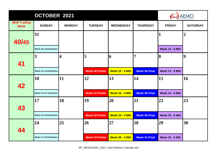|                                   | OCTOBER 2021                 |                         |                       | <b>AEMO</b>            |                      |                             |                 |
|-----------------------------------|------------------------------|-------------------------|-----------------------|------------------------|----------------------|-----------------------------|-----------------|
| <b>NEM Trading</b><br><b>Week</b> | <b>SUNDAY</b>                | <b>MONDAY</b>           | <b>TUESDAY</b>        | <b>WEDNESDAY</b>       | <b>THURSDAY</b>      | <b>FRIDAY</b>               | <b>SATURDAY</b> |
| 40/45                             | 31<br>Week 18 & 30 Estimates |                         |                       |                        |                      | ]<br><b>Week 12 - 6 Mth</b> | $\overline{2}$  |
| 41                                | $\overline{\mathbf{3}}$      | $\overline{\mathbf{4}}$ | 5                     | 6                      | 7                    | 8                           | 9               |
|                                   | Week 14 & 26 Estimates       |                         | <b>Week 40 Prelim</b> | <b>Week 22 - 4 Mth</b> | <b>Week 38 Final</b> | <b>Week 13 - 6 Mth</b>      |                 |
| 42                                | <b>10</b>                    | 11                      | 12                    | $\vert 13 \vert$       | 14                   | 15                          | <b>16</b>       |
|                                   | Week 15 & 27 Estimates       |                         | <b>Week 41 Prelim</b> | <b>Week 23 - 4 Mth</b> | <b>Week 39 Final</b> | <b>Week 14 - 6 Mth</b>      |                 |
| 43                                | $\overline{17}$              | 18                      | 19                    | 20                     | 21                   | 22                          | 23              |
|                                   | Week 16 & 28 Estimates       |                         | <b>Week 42 Prelim</b> | <b>Week 24 - 4 Mth</b> | <b>Week 40 Final</b> | <b>Week 15 - 6 Mth</b>      |                 |
| 44                                | 24                           | 25                      | 26                    | 27                     | 28                   | 29                          | 30              |
|                                   | Week 17 & 29 Estimates       |                         | <b>Week 43 Prelim</b> | <b>Week 25 - 4 Mth</b> | <b>Week 41 Final</b> | <b>Week 16 - 6 Mth</b>      |                 |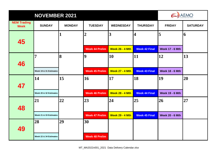|                                   | <b>AEMO</b><br><b>NOVEMBER 2021</b> |               |                       |                        |                         |                        |                  |  |  |
|-----------------------------------|-------------------------------------|---------------|-----------------------|------------------------|-------------------------|------------------------|------------------|--|--|
| <b>NEM Trading</b><br><b>Week</b> | <b>SUNDAY</b>                       | <b>MONDAY</b> | <b>TUESDAY</b>        | <b>WEDNESDAY</b>       | <b>THURSDAY</b>         | <b>FRIDAY</b>          | <b>SATURDAY</b>  |  |  |
| 45                                |                                     | 1             | $\overline{2}$        | 3                      | $\overline{\mathbf{4}}$ | 5                      | 6                |  |  |
|                                   |                                     |               | <b>Week 44 Prelim</b> | <b>Week 26 - 4 Mth</b> | <b>Week 42 Final</b>    | <b>Week 17 - 6 Mth</b> |                  |  |  |
|                                   | 7                                   | 8             | $\overline{9}$        | 10                     | 11                      | 12                     | $\vert 13 \vert$ |  |  |
| 46                                | Week 19 & 31 Estimates              |               | <b>Week 45 Prelim</b> | <b>Week 27 - 4 Mth</b> | <b>Week 43 Final</b>    | <b>Week 18 - 6 Mth</b> |                  |  |  |
|                                   | 14                                  | 15            | 16                    | 17                     | 18                      | 19                     | 20               |  |  |
| 47                                | Week 20 & 32 Estimates              |               | <b>Week 46 Prelim</b> | <b>Week 28 - 4 Mth</b> | <b>Week 44 Final</b>    | <b>Week 19 - 6 Mth</b> |                  |  |  |
|                                   | 21                                  | 22            | 23                    | 24                     | 25                      | 26                     | 27               |  |  |
| 48                                | Week 21 & 33 Estimates              |               | <b>Week 47 Prelim</b> | <b>Week 29 - 4 Mth</b> | <b>Week 45 Final</b>    | <b>Week 20 - 6 Mth</b> |                  |  |  |
|                                   | 28                                  | 29            | 30                    |                        |                         |                        |                  |  |  |
| 49                                | Week 22 & 34 Estimates              |               | <b>Week 48 Prelim</b> |                        |                         |                        |                  |  |  |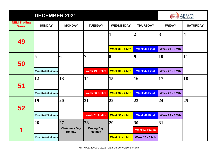|                                   | AEMO                   |                                        |                                     |                        |                                        |                                          |                 |
|-----------------------------------|------------------------|----------------------------------------|-------------------------------------|------------------------|----------------------------------------|------------------------------------------|-----------------|
| <b>NEM Trading</b><br><b>Week</b> | <b>SUNDAY</b>          | <b>MONDAY</b>                          | <b>TUESDAY</b>                      | <b>WEDNESDAY</b>       | <b>THURSDAY</b>                        | <b>FRIDAY</b>                            | <b>SATURDAY</b> |
| 49                                |                        |                                        |                                     | <b>Week 30 - 4 Mth</b> | $\overline{2}$<br><b>Week 46 Final</b> | $\overline{3}$<br><b>Week 21 - 6 Mth</b> | 4               |
| 50                                | 5                      | 6                                      | $\overline{7}$                      | 8                      | $\boldsymbol{9}$                       | 10                                       | 11              |
|                                   | Week 23 & 35 Estimates |                                        | <b>Week 49 Prelim</b>               | <b>Week 31 - 4 Mth</b> | <b>Week 47 Final</b>                   | <b>Week 22 - 6 Mth</b>                   |                 |
| 51                                | 12                     | 13                                     | 14                                  | <b>15</b>              | 16                                     | 17                                       | 18              |
|                                   | Week 24 & 36 Estimates |                                        | <b>Week 50 Prelim</b>               | <b>Week 32 - 4 Mth</b> | <b>Week 48 Final</b>                   | <b>Week 23 - 6 Mth</b>                   |                 |
| 52                                | 19                     | 20                                     | 21                                  | 22                     | 23                                     | 24                                       | 25              |
|                                   | Week 25 & 37 Estimates |                                        | <b>Week 51 Prelim</b>               | <b>Week 33 - 4 Mth</b> | <b>Week 49 Final</b>                   | <b>Week 24 - 6 Mth</b>                   |                 |
|                                   | 26                     | 27                                     | <b>28</b>                           | 29                     | 30                                     | 31                                       |                 |
| 1                                 |                        | <b>Christmas Day</b><br><b>Holiday</b> | <b>Boxing Day</b><br><b>Holiday</b> |                        | <b>Week 52 Prelim</b>                  |                                          |                 |
|                                   | Week 26 & 38 Estimates |                                        |                                     | <b>Week 34 - 4 Mth</b> | <b>Week 25 - 6 Mth</b>                 |                                          |                 |